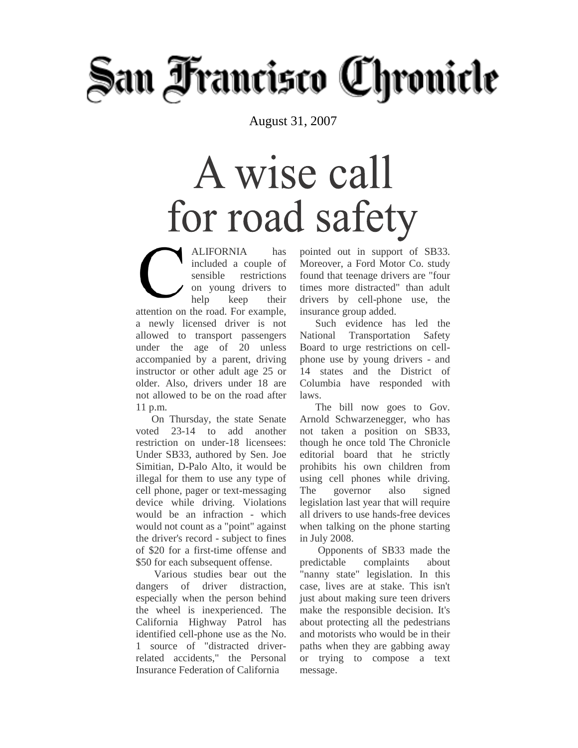# San Francisco Chronicle

August 31, 2007

## A wise call for road safety

ALIFORNIA has included a couple of sensible restrictions on young drivers to help keep their attention on the road. For example, a newly licensed driver is not allowed to transport passengers under the age of 20 unless accompanied by a parent, driving instructor or other adult age 25 or older. Also, drivers under 18 are not allowed to be on the road after 11 p.m.

 On Thursday, the state Senate voted 23-14 to add another restriction on under-18 licensees: Under SB33, authored by Sen. Joe Simitian, D-Palo Alto, it would be illegal for them to use any type of cell phone, pager or text-messaging device while driving. Violations would be an infraction - which would not count as a "point" against the driver's record - subject to fines of \$20 for a first-time offense and \$50 for each subsequent offense.

 Various studies bear out the dangers of driver distraction, especially when the person behind the wheel is inexperienced. The California Highway Patrol has identified cell-phone use as the No. 1 source of "distracted driverrelated accidents," the Personal Insurance Federation of California

pointed out in support of SB33. Moreover, a Ford Motor Co. study found that teenage drivers are "four times more distracted" than adult drivers by cell-phone use, the insurance group added.

 Such evidence has led the National Transportation Safety Board to urge restrictions on cellphone use by young drivers - and 14 states and the District of Columbia have responded with laws.

 The bill now goes to Gov. Arnold Schwarzenegger, who has not taken a position on SB33, though he once told The Chronicle editorial board that he strictly prohibits his own children from using cell phones while driving. The governor also signed legislation last year that will require all drivers to use hands-free devices when talking on the phone starting in July 2008.

 Opponents of SB33 made the predictable complaints about "nanny state" legislation. In this case, lives are at stake. This isn't just about making sure teen drivers make the responsible decision. It's about protecting all the pedestrians and motorists who would be in their paths when they are gabbing away or trying to compose a text message.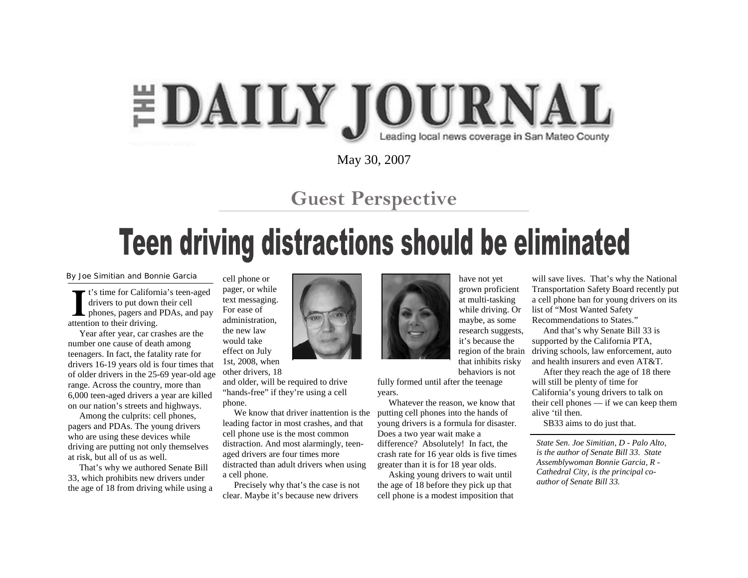#### **EDAILY JOURNAL** Leading local news coverage in San Mateo County

May 30, 2007

#### **Guest Perspective**

### Teen driving distractions should be eliminated

By Joe Simitian and Bonnie Garcia

t's time for California's teen-aged drivers to put down their cell **L** phones, pagers and PDAs, and pay attention to their driving.

 Year after year, car crashes are the number one cause of death among teenagers. In fact, the fatality rate for drivers 16-19 years old is four times that of older drivers in the 25-69 year-old age range. Across the country, more than 6,000 teen-aged drivers a year are killed on our nation's streets and highways.

 Among the culprits: cell phones, pagers and PDAs. The young drivers who are using these devices while driving are putting not only themselves at risk, but all of us as well.

 That's why we authored Senate Bill 33, which prohibits new drivers under the age of 18 from driving while using a cell phone or pager, or while text messaging. For ease of administration, the new law would take effect on July

1st, 2008, when other drivers, 18

and older, will be required to drive "hands-free" if they're using a cell phone.

 We know that driver inattention is the leading factor in most crashes, and that cell phone use is the most common distraction. And most alarmingly, teenaged drivers are four times more distracted than adult drivers when using a cell phone.

 Precisely why that's the case is not clear. Maybe it's because new drivers



have not yet grown proficient at multi-tasking while driving. Or maybe, as some research suggests, it's because the region of the brain that inhibits risky behaviors is not

fully formed until after the teenage years.

 Whatever the reason, we know that putting cell phones into the hands of young drivers is a formula for disaster. Does a two year wait make a difference? Absolutely! In fact, the crash rate for 16 year olds is five times greater than it is for 18 year olds.

 Asking young drivers to wait until the age of 18 before they pick up that cell phone is a modest imposition that

will save lives. That's why the National Transportation Safety Board recently put a cell phone ban for young drivers on its list of "Most Wanted Safety Recommendations to States."

 And that's why Senate Bill 33 is supported by the California PTA, driving schools, law enforcement, auto and health insurers and even AT&T.

 After they reach the age of 18 there will still be plenty of time for California's young drivers to talk on their cell phones — if we can keep them alive 'til then.

SB33 aims to do just that.

*State Sen. Joe Simitian, D - Palo Alto, is the author of Senate Bill 33. State Assemblywoman Bonnie Garcia, R - Cathedral City, is the principal coauthor of Senate Bill 33.*